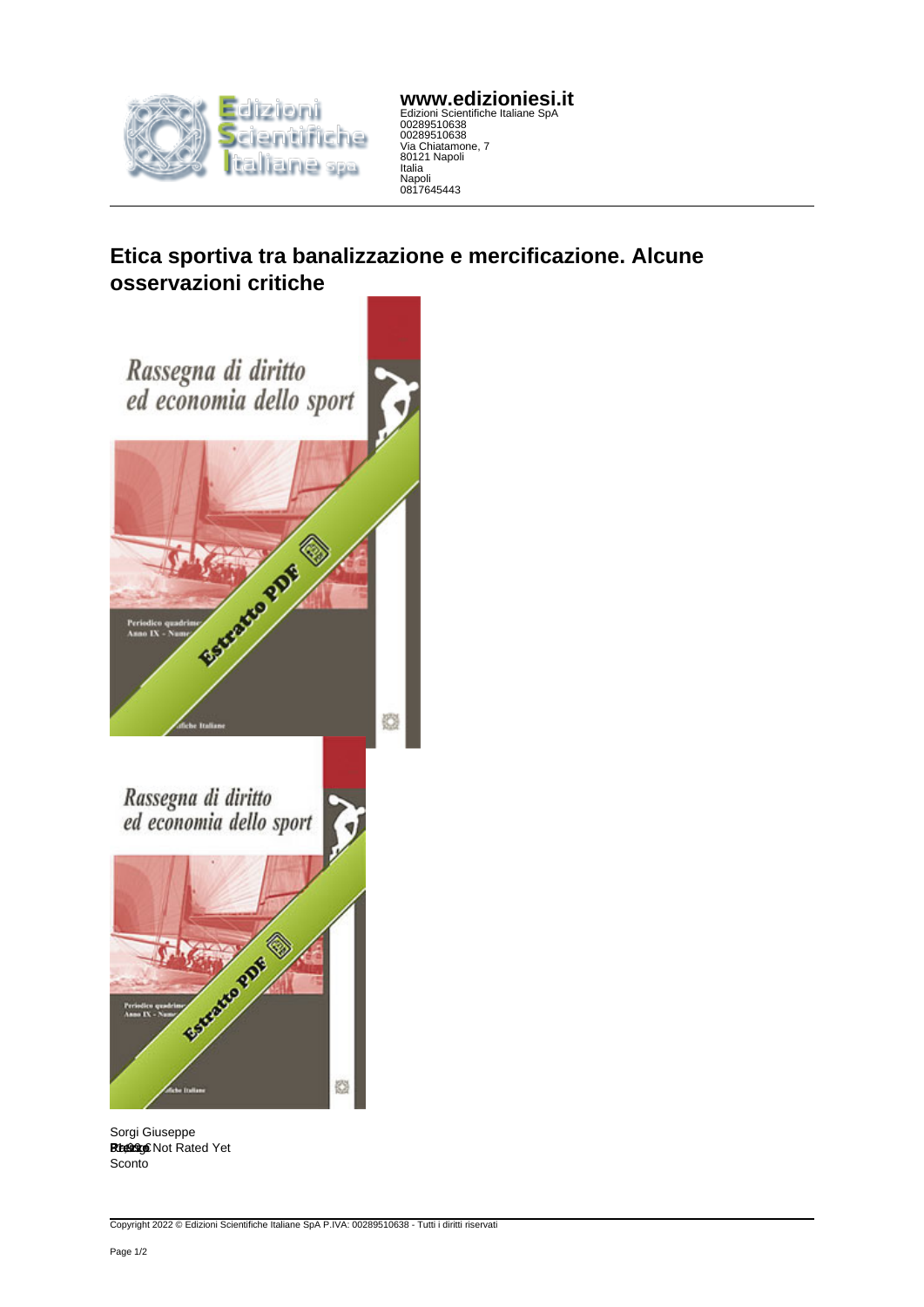

**www.edizioniesi.it** Edizioni Scientifiche Italiane SpA 00289510638 00289510638 Via Chiatamone, 7 80121 Napoli Italia Napoli 0817645443

**Etica sportiva tra banalizzazione e mercificazione. Alcune osservazioni critiche**



Sorgi Giuseppe **Rtelog** Chanceppe Sconto